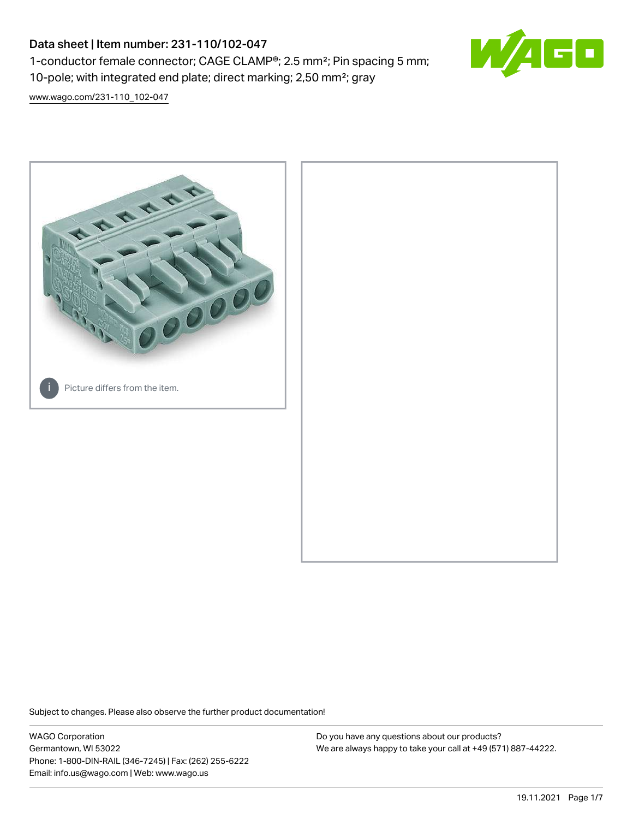# Data sheet | Item number: 231-110/102-047 1-conductor female connector; CAGE CLAMP®; 2.5 mm²; Pin spacing 5 mm; 10-pole; with integrated end plate; direct marking; 2,50 mm²; gray



[www.wago.com/231-110\\_102-047](http://www.wago.com/231-110_102-047)



Subject to changes. Please also observe the further product documentation!

WAGO Corporation Germantown, WI 53022 Phone: 1-800-DIN-RAIL (346-7245) | Fax: (262) 255-6222 Email: info.us@wago.com | Web: www.wago.us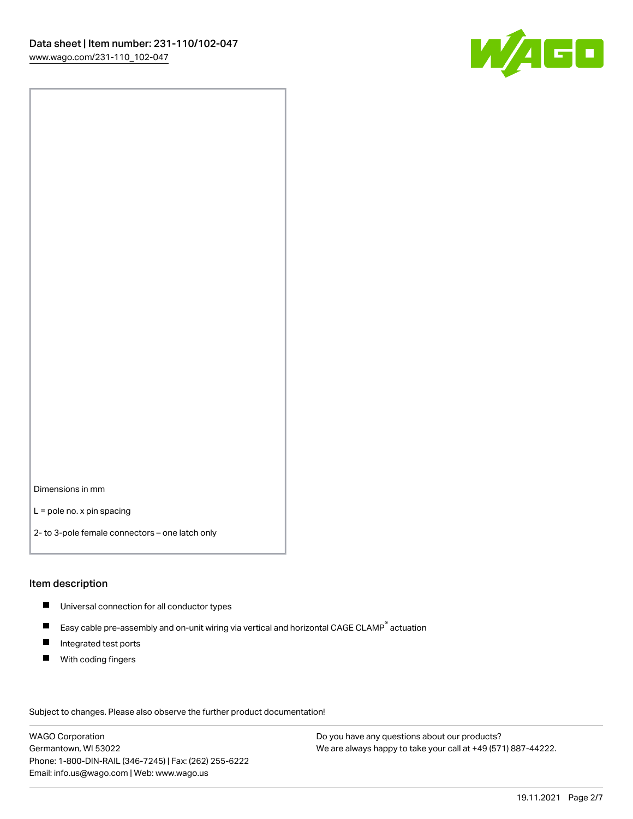

Dimensions in mm

L = pole no. x pin spacing

2- to 3-pole female connectors – one latch only

### Item description

- **Universal connection for all conductor types**
- Easy cable pre-assembly and on-unit wiring via vertical and horizontal CAGE CLAMP<sup>®</sup> actuation  $\blacksquare$
- $\blacksquare$ Integrated test ports
- $\blacksquare$ With coding fingers

Subject to changes. Please also observe the further product documentation! Data

WAGO Corporation Germantown, WI 53022 Phone: 1-800-DIN-RAIL (346-7245) | Fax: (262) 255-6222 Email: info.us@wago.com | Web: www.wago.us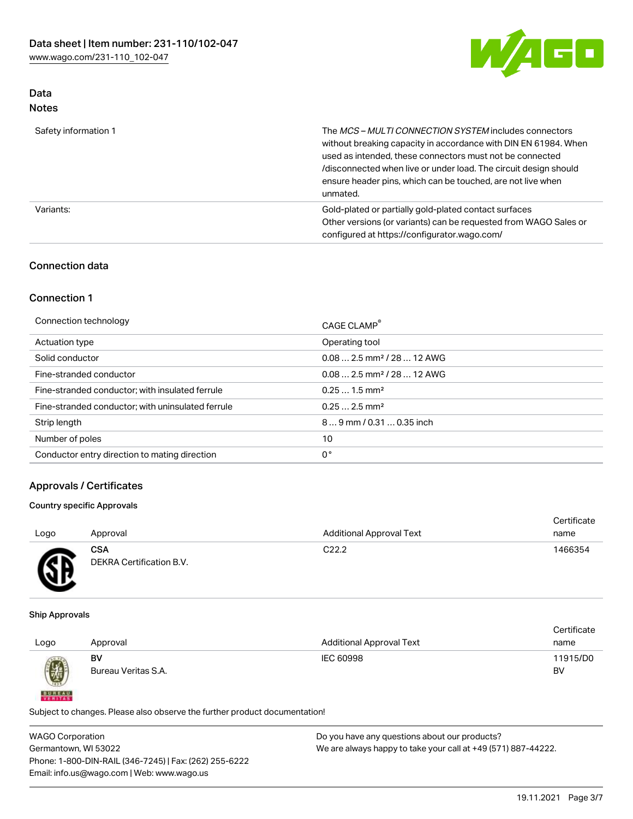

# Data Notes

| Safety information 1 | The MCS-MULTI CONNECTION SYSTEM includes connectors<br>without breaking capacity in accordance with DIN EN 61984. When<br>used as intended, these connectors must not be connected<br>/disconnected when live or under load. The circuit design should<br>ensure header pins, which can be touched, are not live when<br>unmated. |
|----------------------|-----------------------------------------------------------------------------------------------------------------------------------------------------------------------------------------------------------------------------------------------------------------------------------------------------------------------------------|
| Variants:            | Gold-plated or partially gold-plated contact surfaces<br>Other versions (or variants) can be requested from WAGO Sales or<br>configured at https://configurator.wago.com/                                                                                                                                                         |

## Connection data

## Connection 1

| Connection technology                             | CAGE CLAMP <sup>®</sup>                 |
|---------------------------------------------------|-----------------------------------------|
| Actuation type                                    | Operating tool                          |
| Solid conductor                                   | $0.08$ 2.5 mm <sup>2</sup> / 28  12 AWG |
| Fine-stranded conductor                           | $0.082.5$ mm <sup>2</sup> / 28  12 AWG  |
| Fine-stranded conductor; with insulated ferrule   | $0.251.5$ mm <sup>2</sup>               |
| Fine-stranded conductor; with uninsulated ferrule | $0.252.5$ mm <sup>2</sup>               |
| Strip length                                      | 89 mm / 0.31  0.35 inch                 |
| Number of poles                                   | 10                                      |
| Conductor entry direction to mating direction     | 0°                                      |

## Approvals / Certificates

## Country specific Approvals

| Logo          | Approval                               | <b>Additional Approval Text</b> | Certificate<br>name |
|---------------|----------------------------------------|---------------------------------|---------------------|
| <b>R</b><br>፵ | <b>CSA</b><br>DEKRA Certification B.V. | C <sub>22.2</sub>               | 1466354             |

### Ship Approvals

**BUREAU** 

|      |                     |                                 | Certificate |
|------|---------------------|---------------------------------|-------------|
| Logo | Approval            | <b>Additional Approval Text</b> | name        |
|      | BV                  | IEC 60998                       | 11915/D0    |
| 0    | Bureau Veritas S.A. |                                 | BV          |

Subject to changes. Please also observe the further product documentation!

| <b>WAGO Corporation</b>                                | Do you have any questions about our products?                 |
|--------------------------------------------------------|---------------------------------------------------------------|
| Germantown, WI 53022                                   | We are always happy to take your call at +49 (571) 887-44222. |
| Phone: 1-800-DIN-RAIL (346-7245)   Fax: (262) 255-6222 |                                                               |
| Email: info.us@wago.com   Web: www.wago.us             |                                                               |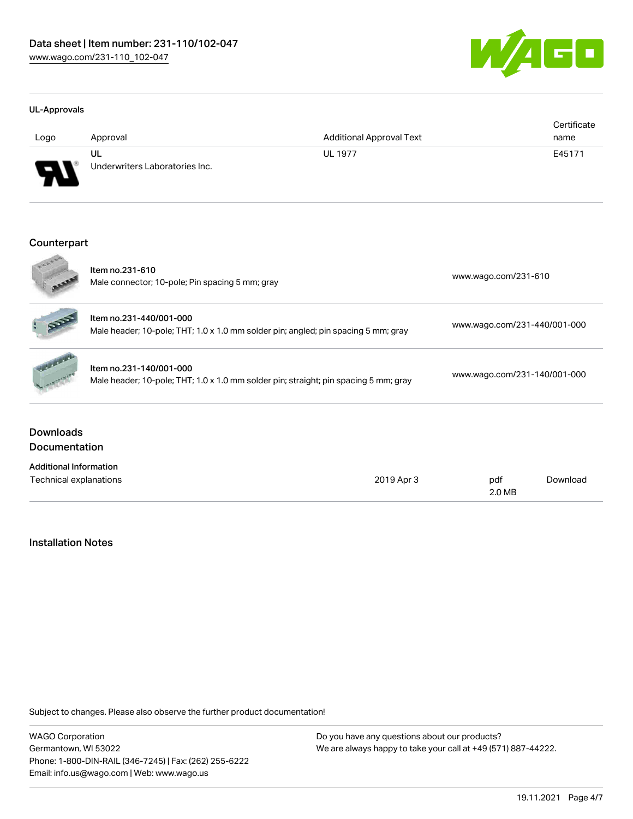

#### UL-Approvals

| Logo     | Approval                             | <b>Additional Approval Text</b> | Certificate<br>name |
|----------|--------------------------------------|---------------------------------|---------------------|
| J<br>. . | UL<br>Underwriters Laboratories Inc. | <b>UL 1977</b>                  | E45171              |

### Counterpart

|                                          | Item no.231-610<br>Male connector; 10-pole; Pin spacing 5 mm; gray                                              | www.wago.com/231-610         |  |
|------------------------------------------|-----------------------------------------------------------------------------------------------------------------|------------------------------|--|
|                                          | Item no.231-440/001-000<br>Male header; 10-pole; THT; 1.0 x 1.0 mm solder pin; angled; pin spacing 5 mm; gray   | www.wago.com/231-440/001-000 |  |
|                                          | Item no.231-140/001-000<br>Male header; 10-pole; THT; 1.0 x 1.0 mm solder pin; straight; pin spacing 5 mm; gray | www.wago.com/231-140/001-000 |  |
| <b>Downloads</b><br><b>Documentation</b> |                                                                                                                 |                              |  |
| <b>Additional Information</b>            |                                                                                                                 |                              |  |
| 2019 Apr 3<br>Technical explanations     |                                                                                                                 | Download<br>pdf<br>2.0 MB    |  |

## Installation Notes

Subject to changes. Please also observe the further product documentation!

WAGO Corporation Germantown, WI 53022 Phone: 1-800-DIN-RAIL (346-7245) | Fax: (262) 255-6222 Email: info.us@wago.com | Web: www.wago.us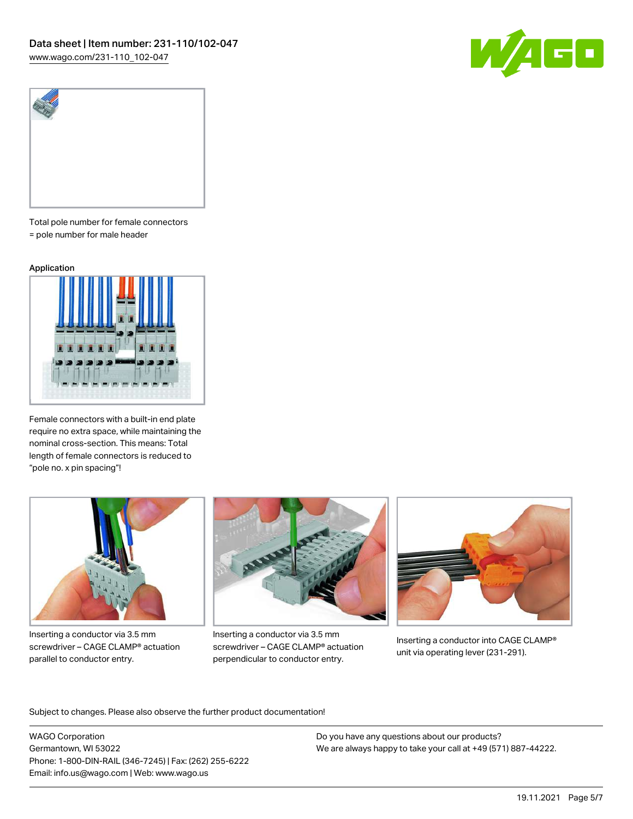



Total pole number for female connectors = pole number for male header

#### Application



Female connectors with a built-in end plate require no extra space, while maintaining the nominal cross-section. This means: Total length of female connectors is reduced to "pole no. x pin spacing"!



Inserting a conductor via 3.5 mm screwdriver – CAGE CLAMP® actuation parallel to conductor entry.



Inserting a conductor via 3.5 mm screwdriver – CAGE CLAMP® actuation perpendicular to conductor entry.



Inserting a conductor into CAGE CLAMP® unit via operating lever (231-291).

Subject to changes. Please also observe the further product documentation!

WAGO Corporation Germantown, WI 53022 Phone: 1-800-DIN-RAIL (346-7245) | Fax: (262) 255-6222 Email: info.us@wago.com | Web: www.wago.us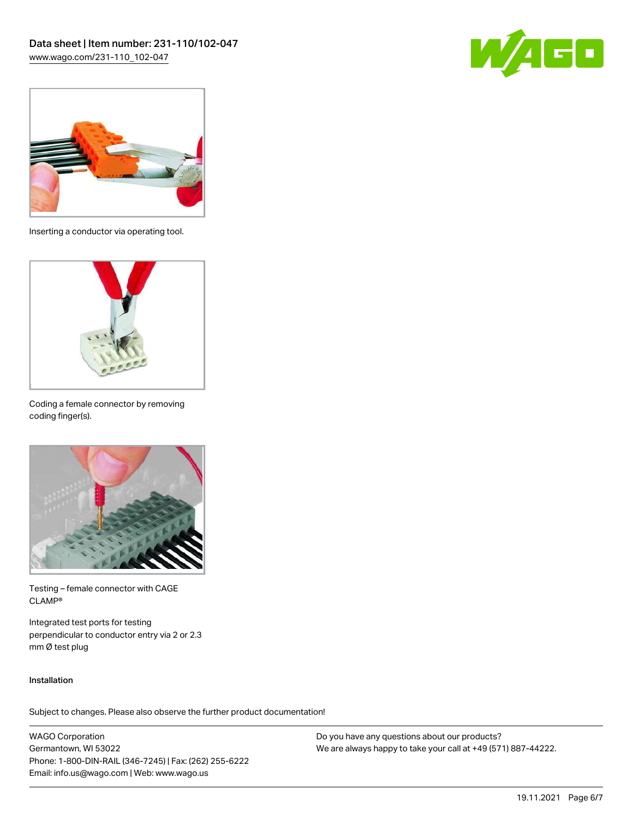



Inserting a conductor via operating tool.



Coding a female connector by removing coding finger(s).



Testing – female connector with CAGE CLAMP®

Integrated test ports for testing perpendicular to conductor entry via 2 or 2.3 mm Ø test plug

#### Installation

Subject to changes. Please also observe the further product documentation!

WAGO Corporation Germantown, WI 53022 Phone: 1-800-DIN-RAIL (346-7245) | Fax: (262) 255-6222 Email: info.us@wago.com | Web: www.wago.us